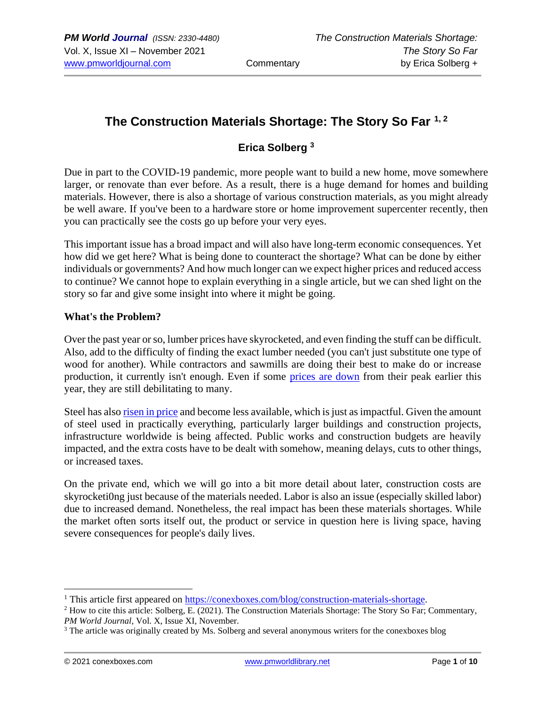# **The Construction Materials Shortage: The Story So Far 1, <sup>2</sup>**

## **Erica Solberg <sup>3</sup>**

Due in part to the COVID-19 pandemic, more people want to build a new home, move somewhere larger, or renovate than ever before. As a result, there is a huge demand for homes and building materials. However, there is also a shortage of various construction materials, as you might already be well aware. If you've been to a hardware store or home improvement supercenter recently, then you can practically see the costs go up before your very eyes.

This important issue has a broad impact and will also have long-term economic consequences. Yet how did we get here? What is being done to counteract the shortage? What can be done by either individuals or governments? And how much longer can we expect higher prices and reduced access to continue? We cannot hope to explain everything in a single article, but we can shed light on the story so far and give some insight into where it might be going.

## **What's the Problem?**

Over the past year or so, lumber prices have skyrocketed, and even finding the stuff can be difficult. Also, add to the difficulty of finding the exact lumber needed (you can't just substitute one type of wood for another). While contractors and sawmills are doing their best to make do or increase production, it currently isn't enough. Even if some [prices are down](https://tradingeconomics.com/commodity/lumber) from their peak earlier this year, they are still debilitating to many.

Steel has also [risen in price](https://fortune.com/2021/07/08/steel-prices-2021-going-up-bubble/) and become less available, which is just as impactful. Given the amount of steel used in practically everything, particularly larger buildings and construction projects, infrastructure worldwide is being affected. Public works and construction budgets are heavily impacted, and the extra costs have to be dealt with somehow, meaning delays, cuts to other things, or increased taxes.

On the private end, which we will go into a bit more detail about later, construction costs are skyrocketi0ng just because of the materials needed. Labor is also an issue (especially skilled labor) due to increased demand. Nonetheless, the real impact has been these materials shortages. While the market often sorts itself out, the product or service in question here is living space, having severe consequences for people's daily lives.

<sup>&</sup>lt;sup>1</sup> This article first appeared on [https://conexboxes.com/blog/construction-materials-shortage.](https://conexboxes.com/blog/construction-materials-shortage)

<sup>2</sup> How to cite this article: Solberg, E. (2021). The Construction Materials Shortage: The Story So Far; Commentary, *PM World Journal*, Vol. X, Issue XI, November.

<sup>&</sup>lt;sup>3</sup> The article was originally created by Ms. Solberg and several anonymous writers for the conexboxes blog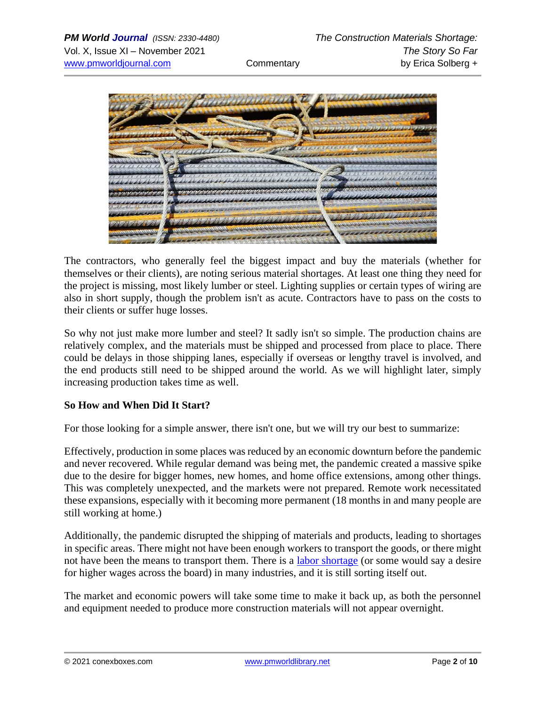

The contractors, who generally feel the biggest impact and buy the materials (whether for themselves or their clients), are noting serious material shortages. At least one thing they need for the project is missing, most likely lumber or steel. Lighting supplies or certain types of wiring are also in short supply, though the problem isn't as acute. Contractors have to pass on the costs to their clients or suffer huge losses.

So why not just make more lumber and steel? It sadly isn't so simple. The production chains are relatively complex, and the materials must be shipped and processed from place to place. There could be delays in those shipping lanes, especially if overseas or lengthy travel is involved, and the end products still need to be shipped around the world. As we will highlight later, simply increasing production takes time as well.

## **So How and When Did It Start?**

For those looking for a simple answer, there isn't one, but we will try our best to summarize:

Effectively, production in some places was reduced by an economic downturn before the pandemic and never recovered. While regular demand was being met, the pandemic created a massive spike due to the desire for bigger homes, new homes, and home office extensions, among other things. This was completely unexpected, and the markets were not prepared. Remote work necessitated these expansions, especially with it becoming more permanent (18 months in and many people are still working at home.)

Additionally, the pandemic disrupted the shipping of materials and products, leading to shortages in specific areas. There might not have been enough workers to transport the goods, or there might not have been the means to transport them. There is a [labor shortage](https://www.shrm.org/resourcesandtools/hr-topics/talent-acquisition/pages/labor-shortages-the-disconnect-solutions-unemployment-benefits-childcare-covid-fear.aspx) (or some would say a desire for higher wages across the board) in many industries, and it is still sorting itself out.

The market and economic powers will take some time to make it back up, as both the personnel and equipment needed to produce more construction materials will not appear overnight.

© 2021 conexboxes.com [www.pmworldlibrary.net](http://www.pmworldlibrary.net/) Page **2** of **10**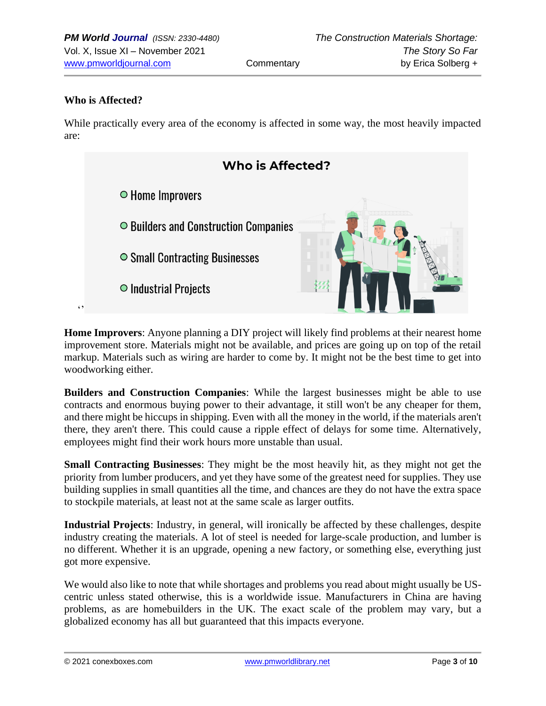#### **Who is Affected?**

While practically every area of the economy is affected in some way, the most heavily impacted are:



**Home Improvers**: Anyone planning a DIY project will likely find problems at their nearest home improvement store. Materials might not be available, and prices are going up on top of the retail markup. Materials such as wiring are harder to come by. It might not be the best time to get into woodworking either.

**Builders and Construction Companies**: While the largest businesses might be able to use contracts and enormous buying power to their advantage, it still won't be any cheaper for them, and there might be hiccups in shipping. Even with all the money in the world, if the materials aren't there, they aren't there. This could cause a ripple effect of delays for some time. Alternatively, employees might find their work hours more unstable than usual.

**Small Contracting Businesses**: They might be the most heavily hit, as they might not get the priority from lumber producers, and yet they have some of the greatest need for supplies. They use building supplies in small quantities all the time, and chances are they do not have the extra space to stockpile materials, at least not at the same scale as larger outfits.

**Industrial Projects**: Industry, in general, will ironically be affected by these challenges, despite industry creating the materials. A lot of steel is needed for large-scale production, and lumber is no different. Whether it is an upgrade, opening a new factory, or something else, everything just got more expensive.

We would also like to note that while shortages and problems you read about might usually be UScentric unless stated otherwise, this is a worldwide issue. Manufacturers in China are having problems, as are homebuilders in the UK. The exact scale of the problem may vary, but a globalized economy has all but guaranteed that this impacts everyone.

© 2021 conexboxes.com [www.pmworldlibrary.net](http://www.pmworldlibrary.net/) Page **3** of **10**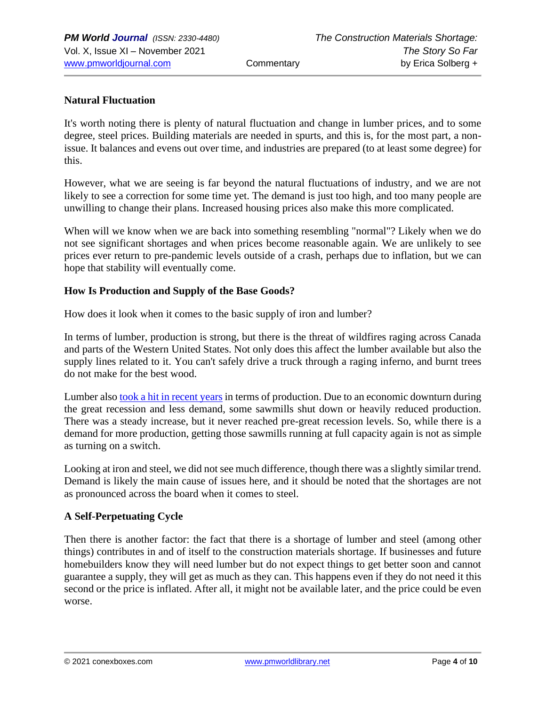## **Natural Fluctuation**

It's worth noting there is plenty of natural fluctuation and change in lumber prices, and to some degree, steel prices. Building materials are needed in spurts, and this is, for the most part, a nonissue. It balances and evens out over time, and industries are prepared (to at least some degree) for this.

However, what we are seeing is far beyond the natural fluctuations of industry, and we are not likely to see a correction for some time yet. The demand is just too high, and too many people are unwilling to change their plans. Increased housing prices also make this more complicated.

When will we know when we are back into something resembling "normal"? Likely when we do not see significant shortages and when prices become reasonable again. We are unlikely to see prices ever return to pre-pandemic levels outside of a crash, perhaps due to inflation, but we can hope that stability will eventually come.

## **How Is Production and Supply of the Base Goods?**

How does it look when it comes to the basic supply of iron and lumber?

In terms of lumber, production is strong, but there is the threat of wildfires raging across Canada and parts of the Western United States. Not only does this affect the lumber available but also the supply lines related to it. You can't safely drive a truck through a raging inferno, and burnt trees do not make for the best wood.

Lumber also [took a hit in recent years](https://fortune.com/2021/06/10/lumber-prices-2021-chart-price-of-lumber-production-wood-supply-costs-update-june/) in terms of production. Due to an economic downturn during the great recession and less demand, some sawmills shut down or heavily reduced production. There was a steady increase, but it never reached pre-great recession levels. So, while there is a demand for more production, getting those sawmills running at full capacity again is not as simple as turning on a switch.

Looking at iron and steel, we did not see much difference, though there was a slightly similar trend. Demand is likely the main cause of issues here, and it should be noted that the shortages are not as pronounced across the board when it comes to steel.

## **A Self-Perpetuating Cycle**

Then there is another factor: the fact that there is a shortage of lumber and steel (among other things) contributes in and of itself to the construction materials shortage. If businesses and future homebuilders know they will need lumber but do not expect things to get better soon and cannot guarantee a supply, they will get as much as they can. This happens even if they do not need it this second or the price is inflated. After all, it might not be available later, and the price could be even worse.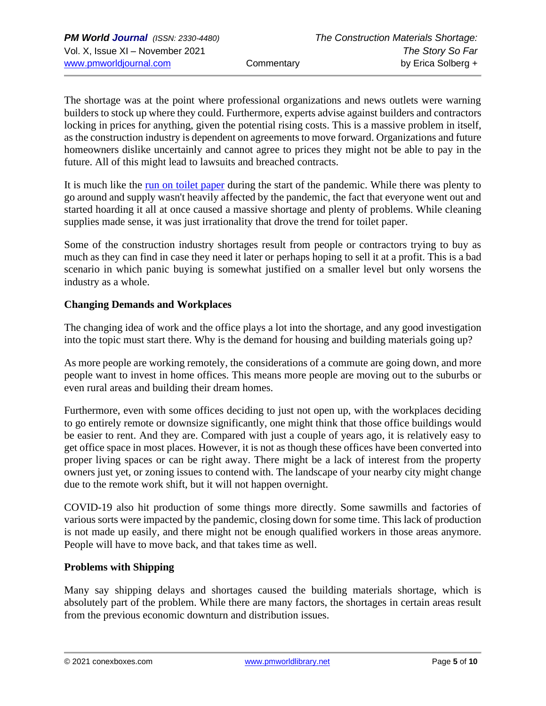The shortage was at the point where professional organizations and news outlets were warning builders to stock up where they could. Furthermore, experts advise against builders and contractors locking in prices for anything, given the potential rising costs. This is a massive problem in itself, as the construction industry is dependent on agreements to move forward. Organizations and future homeowners dislike uncertainly and cannot agree to prices they might not be able to pay in the future. All of this might lead to lawsuits and breached contracts.

It is much like the [run on toilet paper](https://cnr.ncsu.edu/news/2020/05/coronavirus-toilet-paper-shortage/) during the start of the pandemic. While there was plenty to go around and supply wasn't heavily affected by the pandemic, the fact that everyone went out and started hoarding it all at once caused a massive shortage and plenty of problems. While cleaning supplies made sense, it was just irrationality that drove the trend for toilet paper.

Some of the construction industry shortages result from people or contractors trying to buy as much as they can find in case they need it later or perhaps hoping to sell it at a profit. This is a bad scenario in which panic buying is somewhat justified on a smaller level but only worsens the industry as a whole.

## **Changing Demands and Workplaces**

The changing idea of work and the office plays a lot into the shortage, and any good investigation into the topic must start there. Why is the demand for housing and building materials going up?

As more people are working remotely, the considerations of a commute are going down, and more people want to invest in home offices. This means more people are moving out to the suburbs or even rural areas and building their dream homes.

Furthermore, even with some offices deciding to just not open up, with the workplaces deciding to go entirely remote or downsize significantly, one might think that those office buildings would be easier to rent. And they are. Compared with just a couple of years ago, it is relatively easy to get office space in most places. However, it is not as though these offices have been converted into proper living spaces or can be right away. There might be a lack of interest from the property owners just yet, or zoning issues to contend with. The landscape of your nearby city might change due to the remote work shift, but it will not happen overnight.

COVID-19 also hit production of some things more directly. Some sawmills and factories of various sorts were impacted by the pandemic, closing down for some time. This lack of production is not made up easily, and there might not be enough qualified workers in those areas anymore. People will have to move back, and that takes time as well.

## **Problems with Shipping**

Many say shipping delays and shortages caused the building materials shortage, which is absolutely part of the problem. While there are many factors, the shortages in certain areas result from the previous economic downturn and distribution issues.

© 2021 conexboxes.com [www.pmworldlibrary.net](http://www.pmworldlibrary.net/) Page **5** of **10**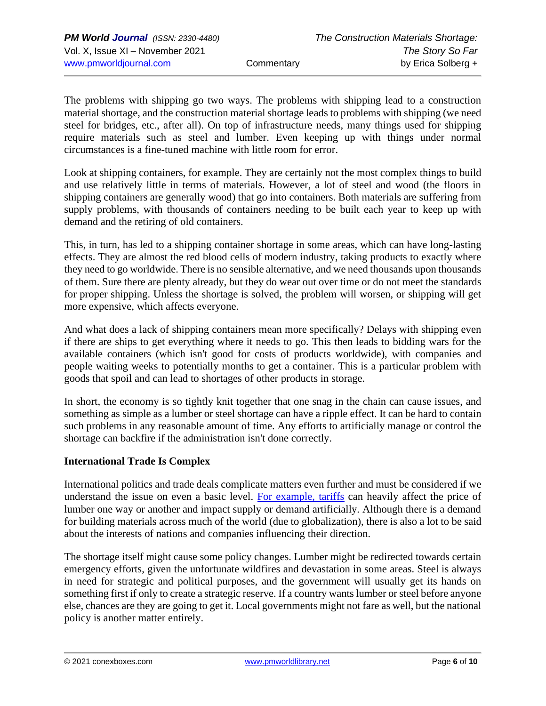The problems with shipping go two ways. The problems with shipping lead to a construction material shortage, and the construction material shortage leads to problems with shipping (we need steel for bridges, etc., after all). On top of infrastructure needs, many things used for shipping require materials such as steel and lumber. Even keeping up with things under normal circumstances is a fine-tuned machine with little room for error.

Look at shipping containers, for example. They are certainly not the most complex things to build and use relatively little in terms of materials. However, a lot of steel and wood (the floors in shipping containers are generally wood) that go into containers. Both materials are suffering from supply problems, with thousands of containers needing to be built each year to keep up with demand and the retiring of old containers.

This, in turn, has led to a shipping container shortage in some areas, which can have long-lasting effects. They are almost the red blood cells of modern industry, taking products to exactly where they need to go worldwide. There is no sensible alternative, and we need thousands upon thousands of them. Sure there are plenty already, but they do wear out over time or do not meet the standards for proper shipping. Unless the shortage is solved, the problem will worsen, or shipping will get more expensive, which affects everyone.

And what does a lack of shipping containers mean more specifically? Delays with shipping even if there are ships to get everything where it needs to go. This then leads to bidding wars for the available containers (which isn't good for costs of products worldwide), with companies and people waiting weeks to potentially months to get a container. This is a particular problem with goods that spoil and can lead to shortages of other products in storage.

In short, the economy is so tightly knit together that one snag in the chain can cause issues, and something as simple as a lumber or steel shortage can have a ripple effect. It can be hard to contain such problems in any reasonable amount of time. Any efforts to artificially manage or control the shortage can backfire if the administration isn't done correctly.

## **International Trade Is Complex**

International politics and trade deals complicate matters even further and must be considered if we understand the issue on even a basic level. [For example, tariffs](https://fortune.com/2021/05/29/lumber-prices-canada-wood-tariffs-homebuilding-costs/) can heavily affect the price of lumber one way or another and impact supply or demand artificially. Although there is a demand for building materials across much of the world (due to globalization), there is also a lot to be said about the interests of nations and companies influencing their direction.

The shortage itself might cause some policy changes. Lumber might be redirected towards certain emergency efforts, given the unfortunate wildfires and devastation in some areas. Steel is always in need for strategic and political purposes, and the government will usually get its hands on something first if only to create a strategic reserve. If a country wants lumber or steel before anyone else, chances are they are going to get it. Local governments might not fare as well, but the national policy is another matter entirely.

© 2021 conexboxes.com [www.pmworldlibrary.net](http://www.pmworldlibrary.net/) Page **6** of **10**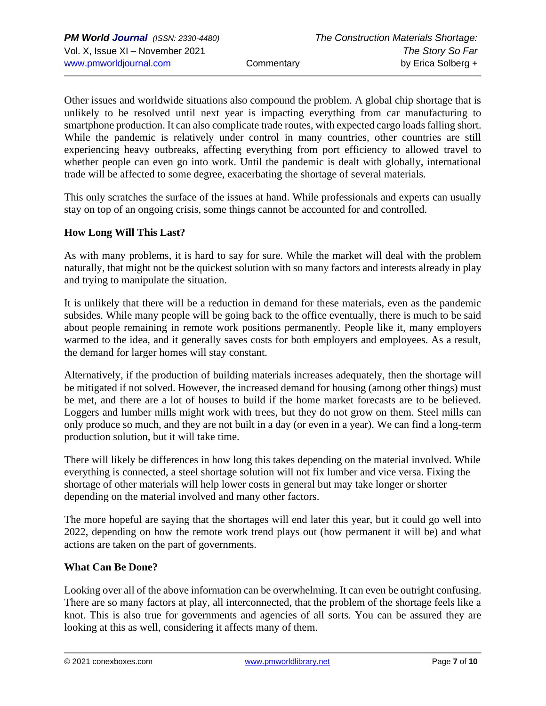Other issues and worldwide situations also compound the problem. A global chip shortage that is unlikely to be resolved until next year is impacting everything from car manufacturing to smartphone production. It can also complicate trade routes, with expected cargo loads falling short. While the pandemic is relatively under control in many countries, other countries are still experiencing heavy outbreaks, affecting everything from port efficiency to allowed travel to whether people can even go into work. Until the pandemic is dealt with globally, international trade will be affected to some degree, exacerbating the shortage of several materials.

This only scratches the surface of the issues at hand. While professionals and experts can usually stay on top of an ongoing crisis, some things cannot be accounted for and controlled.

## **How Long Will This Last?**

As with many problems, it is hard to say for sure. While the market will deal with the problem naturally, that might not be the quickest solution with so many factors and interests already in play and trying to manipulate the situation.

It is unlikely that there will be a reduction in demand for these materials, even as the pandemic subsides. While many people will be going back to the office eventually, there is much to be said about people remaining in remote work positions permanently. People like it, many employers warmed to the idea, and it generally saves costs for both employers and employees. As a result, the demand for larger homes will stay constant.

Alternatively, if the production of building materials increases adequately, then the shortage will be mitigated if not solved. However, the increased demand for housing (among other things) must be met, and there are a lot of houses to build if the home market forecasts are to be believed. Loggers and lumber mills might work with trees, but they do not grow on them. Steel mills can only produce so much, and they are not built in a day (or even in a year). We can find a long-term production solution, but it will take time.

There will likely be differences in how long this takes depending on the material involved. While everything is connected, a steel shortage solution will not fix lumber and vice versa. Fixing the shortage of other materials will help lower costs in general but may take longer or shorter depending on the material involved and many other factors.

The more hopeful are saying that the shortages will end later this year, but it could go well into 2022, depending on how the remote work trend plays out (how permanent it will be) and what actions are taken on the part of governments.

## **What Can Be Done?**

Looking over all of the above information can be overwhelming. It can even be outright confusing. There are so many factors at play, all interconnected, that the problem of the shortage feels like a knot. This is also true for governments and agencies of all sorts. You can be assured they are looking at this as well, considering it affects many of them.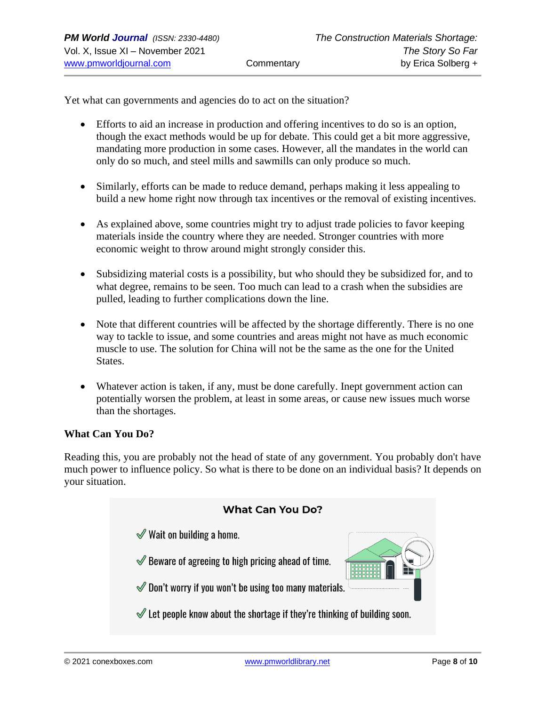Yet what can governments and agencies do to act on the situation?

- Efforts to aid an increase in production and offering incentives to do so is an option, though the exact methods would be up for debate. This could get a bit more aggressive, mandating more production in some cases. However, all the mandates in the world can only do so much, and steel mills and sawmills can only produce so much.
- Similarly, efforts can be made to reduce demand, perhaps making it less appealing to build a new home right now through tax incentives or the removal of existing incentives.
- As explained above, some countries might try to adjust trade policies to favor keeping materials inside the country where they are needed. Stronger countries with more economic weight to throw around might strongly consider this.
- Subsidizing material costs is a possibility, but who should they be subsidized for, and to what degree, remains to be seen. Too much can lead to a crash when the subsidies are pulled, leading to further complications down the line.
- Note that different countries will be affected by the shortage differently. There is no one way to tackle to issue, and some countries and areas might not have as much economic muscle to use. The solution for China will not be the same as the one for the United States.
- Whatever action is taken, if any, must be done carefully. Inept government action can potentially worsen the problem, at least in some areas, or cause new issues much worse than the shortages.

#### **What Can You Do?**

Reading this, you are probably not the head of state of any government. You probably don't have much power to influence policy. So what is there to be done on an individual basis? It depends on your situation.

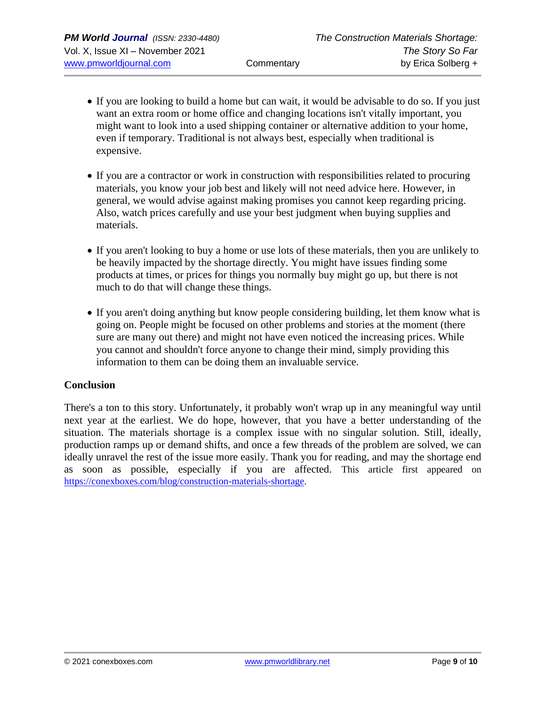- If you are looking to build a home but can wait, it would be advisable to do so. If you just want an extra room or home office and changing locations isn't vitally important, you might want to look into a used shipping container or alternative addition to your home, even if temporary. Traditional is not always best, especially when traditional is expensive.
- If you are a contractor or work in construction with responsibilities related to procuring materials, you know your job best and likely will not need advice here. However, in general, we would advise against making promises you cannot keep regarding pricing. Also, watch prices carefully and use your best judgment when buying supplies and materials.
- If you aren't looking to buy a home or use lots of these materials, then you are unlikely to be heavily impacted by the shortage directly. You might have issues finding some products at times, or prices for things you normally buy might go up, but there is not much to do that will change these things.
- If you aren't doing anything but know people considering building, let them know what is going on. People might be focused on other problems and stories at the moment (there sure are many out there) and might not have even noticed the increasing prices. While you cannot and shouldn't force anyone to change their mind, simply providing this information to them can be doing them an invaluable service.

#### **Conclusion**

There's a ton to this story. Unfortunately, it probably won't wrap up in any meaningful way until next year at the earliest. We do hope, however, that you have a better understanding of the situation. The materials shortage is a complex issue with no singular solution. Still, ideally, production ramps up or demand shifts, and once a few threads of the problem are solved, we can ideally unravel the rest of the issue more easily. Thank you for reading, and may the shortage end as soon as possible, especially if you are affected. This article first appeared on [https://conexboxes.com/blog/construction-materials-shortage.](https://conexboxes.com/blog/construction-materials-shortage)